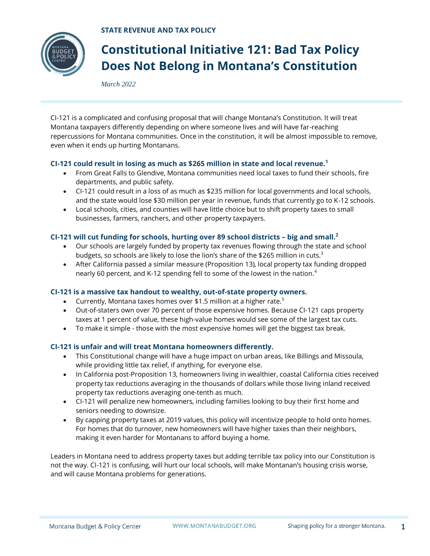**STATE REVENUE AND TAX POLICY**



# **Constitutional Initiative 121: Bad Tax Policy Does Not Belong in Montana's Constitution**

*March 2022*

CI-121 is a complicated and confusing proposal that will change Montana's Constitution. It will treat Montana taxpayers differently depending on where someone lives and will have far-reaching repercussions for Montana communities. Once in the constitution, it will be almost impossible to remove, even when it ends up hurting Montanans.

## **CI-121 could result in losing as much as \$265 million in state and local revenue.<sup>1</sup>**

- From Great Falls to Glendive, Montana communities need local taxes to fund their schools, fire departments, and public safety.
- CI-121 could result in a loss of as much as \$235 million for local governments and local schools, and the state would lose \$30 million per year in revenue, funds that currently go to K-12 schools.
- Local schools, cities, and counties will have little choice but to shift property taxes to small businesses, farmers, ranchers, and other property taxpayers.

## **CI-121 will cut funding for schools, hurting over 89 school districts – big and small.<sup>2</sup>**

- Our schools are largely funded by property tax revenues flowing through the state and school budgets, so schools are likely to lose the lion's share of the \$265 million in cuts.<sup>3</sup>
- After California passed a similar measure (Proposition 13), local property tax funding dropped nearly 60 percent, and K-12 spending fell to some of the lowest in the nation.<sup>4</sup>

### **CI-121 is a massive tax handout to wealthy, out-of-state property owners.**

- Currently, Montana taxes homes over \$1.5 million at a higher rate.<sup>5</sup>
- Out-of-staters own over 70 percent of those expensive homes. Because CI-121 caps property taxes at 1 percent of value, these high-value homes would see some of the largest tax cuts.
- To make it simple those with the most expensive homes will get the biggest tax break.

### **CI-121 is unfair and will treat Montana homeowners differently.**

- This Constitutional change will have a huge impact on urban areas, like Billings and Missoula, while providing little tax relief, if anything, for everyone else.
- In California post-Proposition 13, homeowners living in wealthier, coastal California cities received property tax reductions averaging in the thousands of dollars while those living inland received property tax reductions averaging one-tenth as much.
- CI-121 will penalize new homeowners, including families looking to buy their first home and seniors needing to downsize.
- By capping property taxes at 2019 values, this policy will incentivize people to hold onto homes. For homes that do turnover, new homeowners will have higher taxes than their neighbors, making it even harder for Montanans to afford buying a home.

Leaders in Montana need to address property taxes but adding terrible tax policy into our Constitution is not the way. CI-121 is confusing, will hurt our local schools, will make Montanan's housing crisis worse, and will cause Montana problems for generations.